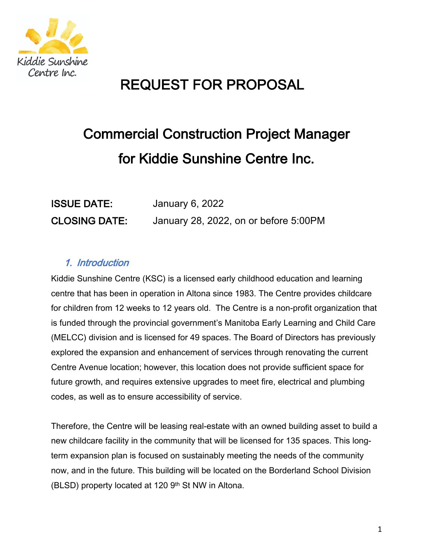

## **REQUEST FOR PROPOSAL**

# **Commercial Construction Project Manager** for Kiddie Sunshine Centre Inc.

| <b>ISSUE DATE:</b>   | January 6, 2022                       |
|----------------------|---------------------------------------|
| <b>CLOSING DATE:</b> | January 28, 2022, on or before 5:00PM |

## 1. Introduction

Kiddie Sunshine Centre (KSC) is a licensed early childhood education and learning centre that has been in operation in Altona since 1983. The Centre provides childcare for children from 12 weeks to 12 years old. The Centre is a non-profit organization that is funded through the provincial government's Manitoba Early Learning and Child Care (MELCC) division and is licensed for 49 spaces. The Board of Directors has previously explored the expansion and enhancement of services through renovating the current Centre Avenue location; however, this location does not provide sufficient space for future growth, and requires extensive upgrades to meet fire, electrical and plumbing codes, as well as to ensure accessibility of service.

Therefore, the Centre will be leasing real-estate with an owned building asset to build a new childcare facility in the community that will be licensed for 135 spaces. This longterm expansion plan is focused on sustainably meeting the needs of the community now, and in the future. This building will be located on the Borderland School Division (BLSD) property located at 120 9th St NW in Altona.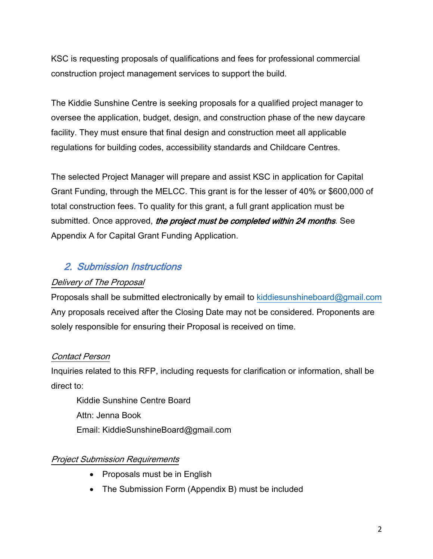KSC is requesting proposals of qualifications and fees for professional commercial construction project management services to support the build.

The Kiddie Sunshine Centre is seeking proposals for a qualified project manager to by oversee the application, budget, design, and construction phase of the new daycare facility. They must ensure that final design and construction meet all applicable regulations for building codes, accessibility standards and Childcare Centres.

The selected Project Manager will prepare and assist KSC in application for Capital Grant Funding, through the MELCC. This grant is for the lesser of 40% or \$600,000 of total construction fees. To quality for this grant, a full grant application must be submitted. Once approved, the project must be completed within 24 months. See Appendix A for Capital Grant Funding Application.

#### 2. Submission Instructions

#### Delivery of The Proposal

Proposals shall be submitted electronically by email to kiddiesunshineboard@gmail.com Any proposals received after the Closing Date may not be considered. Proponents are solely responsible for ensuring their Proposal is received on time.

#### Contact Person

Inquiries related to this RFP, including requests for clarification or information, shall be direct to:

Kiddie Sunshine Centre Board Attn: Jenna Book Email: KiddieSunshineBoard@gmail.com

#### **Project Submission Requirements**

- Proposals must be in English
- The Submission Form (Appendix B) must be included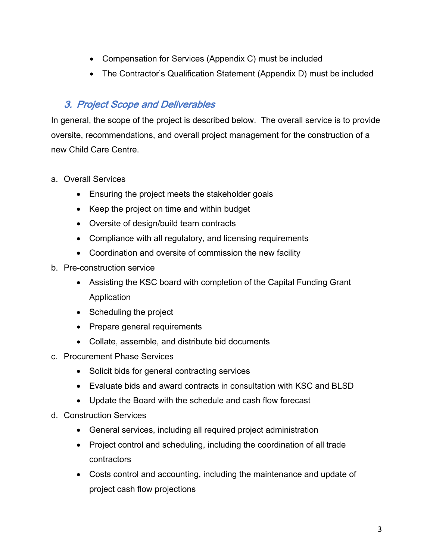- Compensation for Services (Appendix C) must be included
- The Contractor's Qualification Statement (Appendix D) must be included

## 3. Project Scope and Deliverables

In general, the scope of the project is described below. The overall service is to provide oversite, recommendations, and overall project management for the construction of a new Child Care Centre

- a. Overall Services
	- Ensuring the project meets the stakeholder goals
	- Keep the project on time and within budget
	- Oversite of design/build team contracts
	- Compliance with all regulatory, and licensing requirements
	- Coordination and oversite of commission the new facility
- b. Pre-construction service
	- Assisting the KSC board with completion of the Capital Funding Grant Application
	- Scheduling the project
	- Prepare general requirements
	- Collate, assemble, and distribute bid documents
- c. Procurement Phase Services
	- Solicit bids for general contracting services
	- Evaluate bids and award contracts in consultation with KSC and BLSD
	- Update the Board with the schedule and cash flow forecast
- d. Construction Services
	- General services, including all required project administration
	- Project control and scheduling, including the coordination of all trade contractors
	- Costs control and accounting, including the maintenance and update of project cash flow projections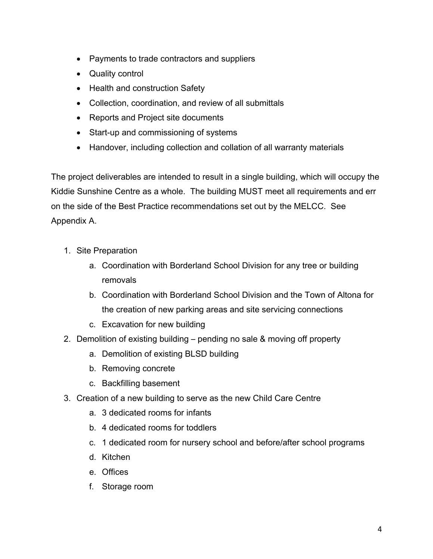- Payments to trade contractors and suppliers
- Quality control
- Health and construction Safety
- Collection, coordination, and review of all submittals
- Reports and Project site documents
- Start-up and commissioning of systems
- Handover, including collection and collation of all warranty materials

The project deliverables are intended to result in a single building, which will occupy the Kiddie Sunshine Centre as a whole. The building MUST meet all requirements and err on the side of the Best Practice recommendations set out by the MELCC. See Appendix A.

- 1. Site Preparation
	- a. Coordination with Borderland School Division for any tree or building removals
	- b. Coordination with Borderland School Division and the Town of Altona for the creation of new parking areas and site servicing connections
	- c. Excavation for new building
- 2. Demolition of existing building pending no sale & moving off property
	- a. Demolition of existing BLSD building
	- b. Removing concrete
	- c. Backfilling basement
- 3. Creation of a new building to serve as the new Child Care Centre
	- a. 3 dedicated rooms for infants
	- b. 4 dedicated rooms for toddlers
	- c. 1 dedicated room for nursery school and before/after school programs
	- d. Kitchen
	- e. Offices
	- f. Storage room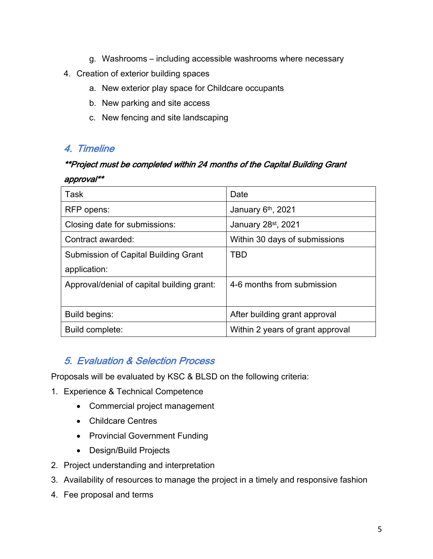- g. Washrooms including accessible washrooms where necessary
- 4. Creation of exterior building spaces
	- a. New exterior play space for Childcare occupants
	- b. New parking and site access
	- c. New fencing and site landscaping

### 4. Timeline

## \*\*Project must be completed within 24 months of the Capital Building Grant approval\*\*

| Task                                       | Date                             |
|--------------------------------------------|----------------------------------|
| RFP opens:                                 | January 6th, 2021                |
| Closing date for submissions:              | January 28 <sup>st</sup> , 2021  |
| Contract awarded:                          | Within 30 days of submissions    |
| Submission of Capital Building Grant       | TBD                              |
| application:                               |                                  |
| Approval/denial of capital building grant: | 4-6 months from submission       |
|                                            |                                  |
| Build begins:                              | After building grant approval    |
| Build complete:                            | Within 2 years of grant approval |

## **5. Evaluation & Selection Process**

Proposals will be evaluated by KSC & BLSD on the following criteria:

- 1. Experience & Technical Competence
	- Commercial project management
	- Childcare Centres
	- Provincial Government Funding
	- Design/Build Projects
- 2. Project understanding and interpretation
- 3. Availability of resources to manage the project in a timely and responsive fashion
- 4. Fee proposal and terms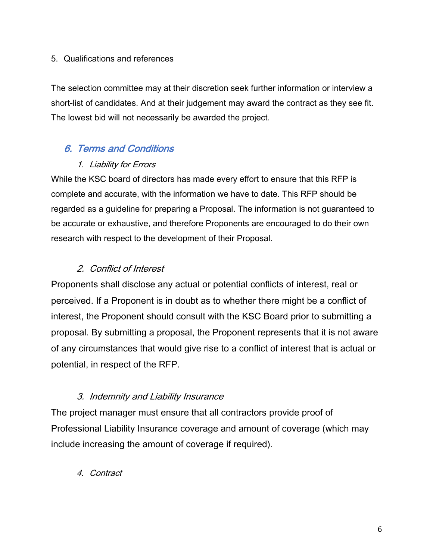#### 5. Qualifications and references

The selection committee may at their discretion seek further information or interview a short-list of candidates. And at their judgement may award the contract as they see fit. The lowest bid will not necessarily be awarded the project.

### 6. Terms and Conditions

#### 1. Liability for Errors

While the KSC board of directors has made every effort to ensure that this RFP is complete and accurate, with the information we have to date. This RFP should be regarded as a guideline for preparing a Proposal. The information is not guaranteed to be accurate or exhaustive, and therefore Proponents are encouraged to do their own research with respect to the development of their Proposal.

## 2. Conflict of Interest

Proponents shall disclose any actual or potential conflicts of interest, real or perceived. If a Proponent is in doubt as to whether there might be a conflict of interest, the Proponent should consult with the KSC Board prior to submitting a proposal. By submitting a proposal, the Proponent represents that it is not aware of any circumstances that would give rise to a conflict of interest that is actual or potential, in respect of the RFP.

#### 3. Indemnity and Liability Insurance

The project manager must ensure that all contractors provide proof of Professional Liability Insurance coverage and amount of coverage (which may include increasing the amount of coverage if required).

#### 4. Contract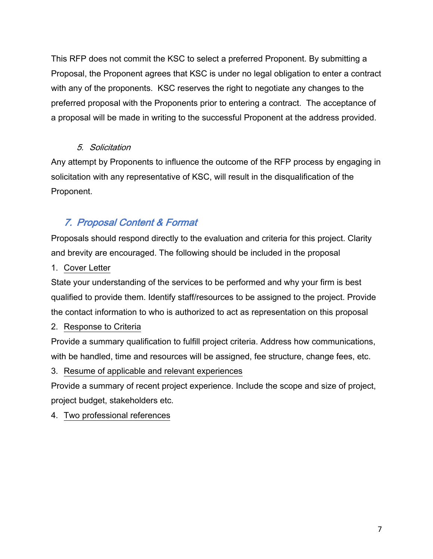This RFP does not commit the KSC to select a preferred Proponent. By submitting a Proposal, the Proponent agrees that KSC is under no legal obligation to enter a contract with any of the proponents. KSC reserves the right to negotiate any changes to the preferred proposal with the Proponents prior to entering a contract. The acceptance of a proposal will be made in writing to the successful Proponent at the address provided.

#### 5. Solicitation

Any attempt by Proponents to influence the outcome of the RFP process by engaging in solicitation with any representative of KSC, will result in the disqualification of the Proponent.

## 7. Proposal Content & Format

Proposals should respond directly to the evaluation and criteria for this project. Clarity and brevity are encouraged. The following should be included in the proposal

1. Cover Letter

State your understanding of the services to be performed and why your firm is best qualified to provide them. Identify staff/resources to be assigned to the project. Provide the contact information to who is authorized to act as representation on this proposal

#### 2. Response to Criteria

Provide a summary qualification to fulfill project criteria. Address how communications, with be handled, time and resources will be assigned, fee structure, change fees, etc.

#### 3. Resume of applicable and relevant experiences

Provide a summary of recent project experience. Include the scope and size of project, project budget, stakeholders etc.

4. Two professional references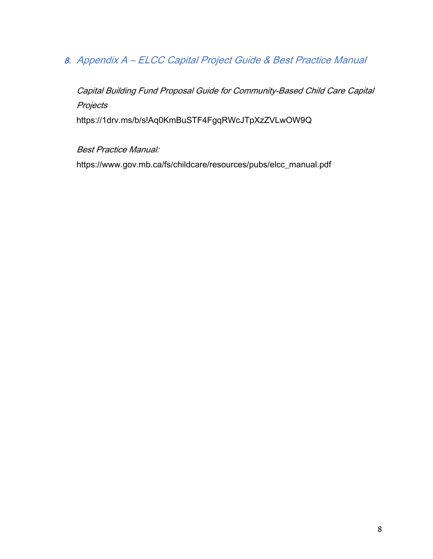## 8. Appendix A - ELCC Capital Project Guide & Best Practice Manual

Capital Building Fund Proposal Guide for Community-Based Child Care Capital Projects https://1drv.ms/b/s!Aq0KmBuSTF4FgqRWcJTpXzZVLwOW9Q

**Best Practice Manual:** 

https://www.gov.mb.ca/fs/childcare/resources/pubs/elcc\_manual.pdf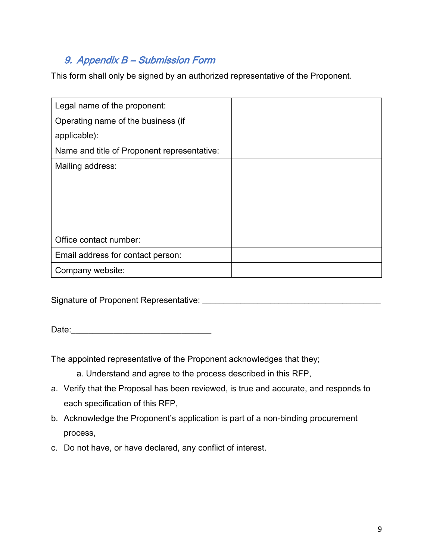## 9. Appendix B - Submission Form

This form shall only be signed by an authorized representative of the Proponent.

| Legal name of the proponent:                |  |
|---------------------------------------------|--|
| Operating name of the business (if          |  |
| applicable):                                |  |
| Name and title of Proponent representative: |  |
| Mailing address:                            |  |
|                                             |  |
|                                             |  |
|                                             |  |
|                                             |  |
| Office contact number:                      |  |
| Email address for contact person:           |  |
| Company website:                            |  |

Signature of Proponent Representative: Network and the material contract of Proponent Representative:

The appointed representative of the Proponent acknowledges that they;

a. Understand and agree to the process described in this RFP,

- a. Verify that the Proposal has been reviewed, is true and accurate, and responds to each specification of this RFP,
- b. Acknowledge the Proponent's application is part of a non-binding procurement process,
- c. Do not have, or have declared, any conflict of interest.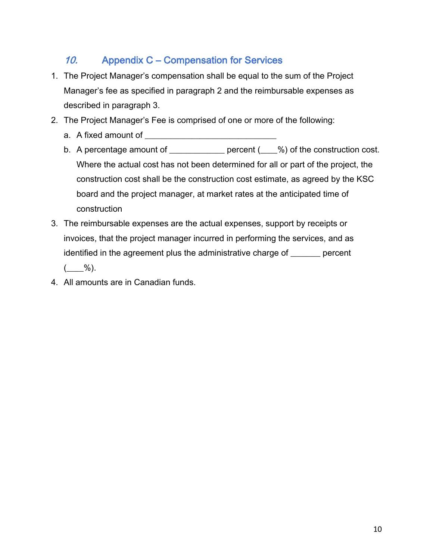#### 10. **Appendix C - Compensation for Services**

- 1. The Project Manager's compensation shall be equal to the sum of the Project Manager's fee as specified in paragraph 2 and the reimbursable expenses as described in paragraph 3.
- 2. The Project Manager's Fee is comprised of one or more of the following:
	-
	- b. A percentage amount of \_\_\_\_\_\_\_\_\_\_\_\_\_ percent (\_\_\_%) of the construction cost. Where the actual cost has not been determined for all or part of the project, the construction cost shall be the construction cost estimate, as agreed by the KSC board and the project manager, at market rates at the anticipated time of construction
- 3. The reimbursable expenses are the actual expenses, support by receipts or invoices, that the project manager incurred in performing the services, and as identified in the agreement plus the administrative charge of \_\_\_\_\_\_ percent  $\frac{9}{6}$ .
- 4. All amounts are in Canadian funds.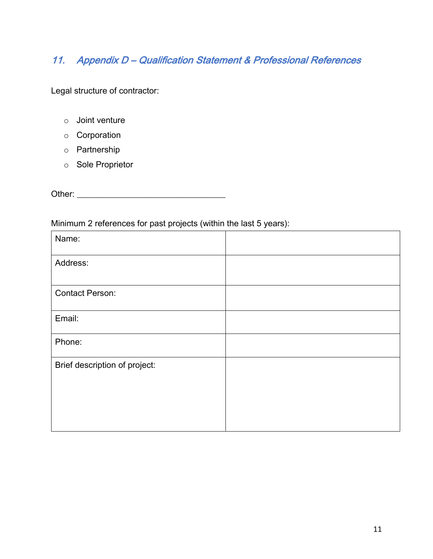## 11. Appendix D - Qualification Statement & Professional References

Legal structure of contractor:

- $\circ$  Joint venture
- o Corporation
- o Partnership
- o Sole Proprietor

#### Minimum 2 references for past projects (within the last 5 years):

| $\overline{\phantom{a}}$      |  |
|-------------------------------|--|
| Name:                         |  |
| Address:                      |  |
|                               |  |
| <b>Contact Person:</b>        |  |
| Email:                        |  |
| Phone:                        |  |
| Brief description of project: |  |
|                               |  |
|                               |  |
|                               |  |